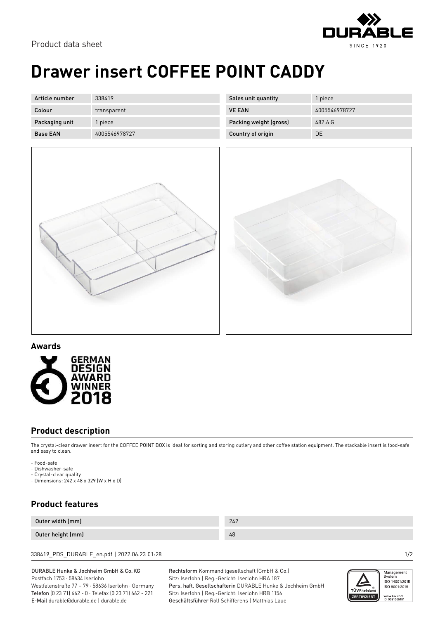

# **Drawer insert COFFEE POINT CADDY**

| Article number  | 338419        |
|-----------------|---------------|
| Colour          | transparent   |
| Packaging unit  | 1 piece       |
| <b>Base FAN</b> | 4005546978727 |

| 1 piece       |
|---------------|
| 4005546978727 |
| 482 6 G       |
| DE.           |
|               |



### **Awards**



### **Product description**

The crystal-clear drawer insert for the COFFEE POINT BOX is ideal for sorting and storing cutlery and other coffee station equipment. The stackable insert is food-safe and easy to clean.

- Food-safe
- Dishwasher-safe
- Crystal-clear quality - Dimensions: 242 x 48 x 329 (W x H x D)

## **Product features**

| Outer width (mm)  | 242 |
|-------------------|-----|
| Outer height (mm) | 48  |

338419\_PDS\_DURABLE\_en.pdf | 2022.06.23 01:28 1/2

#### DURABLE Hunke & Jochheim GmbH & Co.KG Postfach 1753 · 58634 Iserlohn

Westfalenstraße 77 – 79 · 58636 Iserlohn · Germany Telefon (0 23 71) 662 - 0 · Telefax (0 23 71) 662 - 221 E-Mail durable@durable.de | durable.de

Rechtsform Kommanditgesellschaft (GmbH & Co.) Sitz: Iserlohn | Reg.-Gericht: Iserlohn HRA 187 Pers. haft. Gesellschafterin DURABLE Hunke & Jochheim GmbH Sitz: Iserlohn | Reg.-Gericht: Iserlohn HRB 1156 Geschäftsführer Rolf Schifferens | Matthias Laue